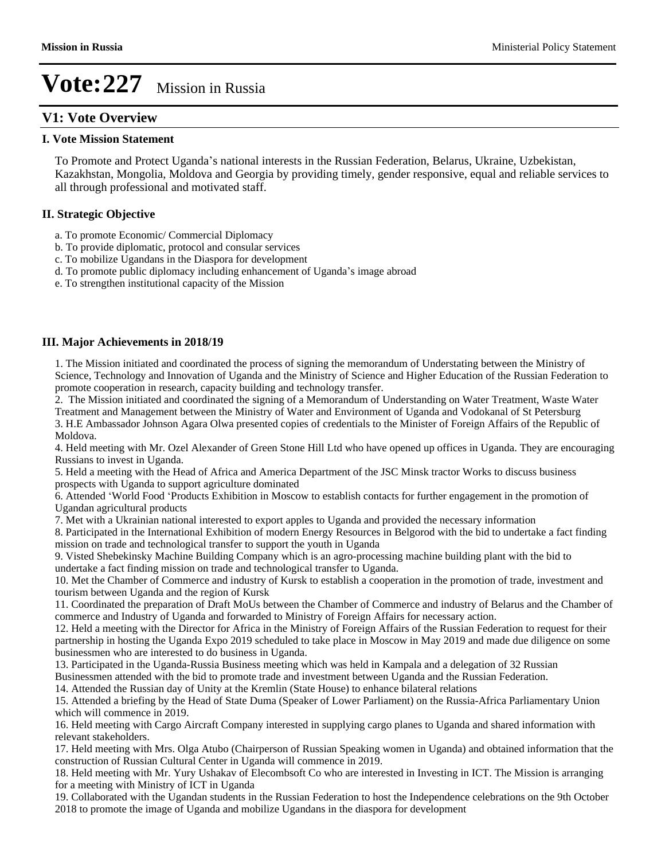### **V1: Vote Overview**

### **I. Vote Mission Statement**

To Promote and Protect Uganda's national interests in the Russian Federation, Belarus, Ukraine, Uzbekistan, Kazakhstan, Mongolia, Moldova and Georgia by providing timely, gender responsive, equal and reliable services to all through professional and motivated staff.

### **II. Strategic Objective**

- a. To promote Economic/ Commercial Diplomacy
- b. To provide diplomatic, protocol and consular services
- c. To mobilize Ugandans in the Diaspora for development
- d. To promote public diplomacy including enhancement of Uganda's image abroad
- e. To strengthen institutional capacity of the Mission

### **III. Major Achievements in 2018/19**

1. The Mission initiated and coordinated the process of signing the memorandum of Understating between the Ministry of Science, Technology and Innovation of Uganda and the Ministry of Science and Higher Education of the Russian Federation to promote cooperation in research, capacity building and technology transfer.

2. The Mission initiated and coordinated the signing of a Memorandum of Understanding on Water Treatment, Waste Water Treatment and Management between the Ministry of Water and Environment of Uganda and Vodokanal of St Petersburg

3. H.E Ambassador Johnson Agara Olwa presented copies of credentials to the Minister of Foreign Affairs of the Republic of Moldova.

4. Held meeting with Mr. Ozel Alexander of Green Stone Hill Ltd who have opened up offices in Uganda. They are encouraging Russians to invest in Uganda.

5. Held a meeting with the Head of Africa and America Department of the JSC Minsk tractor Works to discuss business prospects with Uganda to support agriculture dominated

6. Attended 'World Food 'Products Exhibition in Moscow to establish contacts for further engagement in the promotion of Ugandan agricultural products

7. Met with a Ukrainian national interested to export apples to Uganda and provided the necessary information

8. Participated in the International Exhibition of modern Energy Resources in Belgorod with the bid to undertake a fact finding mission on trade and technological transfer to support the youth in Uganda

9. Visted Shebekinsky Machine Building Company which is an agro-processing machine building plant with the bid to undertake a fact finding mission on trade and technological transfer to Uganda.

10. Met the Chamber of Commerce and industry of Kursk to establish a cooperation in the promotion of trade, investment and tourism between Uganda and the region of Kursk

11. Coordinated the preparation of Draft MoUs between the Chamber of Commerce and industry of Belarus and the Chamber of commerce and Industry of Uganda and forwarded to Ministry of Foreign Affairs for necessary action.

12. Held a meeting with the Director for Africa in the Ministry of Foreign Affairs of the Russian Federation to request for their partnership in hosting the Uganda Expo 2019 scheduled to take place in Moscow in May 2019 and made due diligence on some businessmen who are interested to do business in Uganda.

13. Participated in the Uganda-Russia Business meeting which was held in Kampala and a delegation of 32 Russian

Businessmen attended with the bid to promote trade and investment between Uganda and the Russian Federation.

14. Attended the Russian day of Unity at the Kremlin (State House) to enhance bilateral relations

15. Attended a briefing by the Head of State Duma (Speaker of Lower Parliament) on the Russia-Africa Parliamentary Union which will commence in 2019.

16. Held meeting with Cargo Aircraft Company interested in supplying cargo planes to Uganda and shared information with relevant stakeholders.

17. Held meeting with Mrs. Olga Atubo (Chairperson of Russian Speaking women in Uganda) and obtained information that the construction of Russian Cultural Center in Uganda will commence in 2019.

18. Held meeting with Mr. Yury Ushakav of Elecombsoft Co who are interested in Investing in ICT. The Mission is arranging for a meeting with Ministry of ICT in Uganda

19. Collaborated with the Ugandan students in the Russian Federation to host the Independence celebrations on the 9th October 2018 to promote the image of Uganda and mobilize Ugandans in the diaspora for development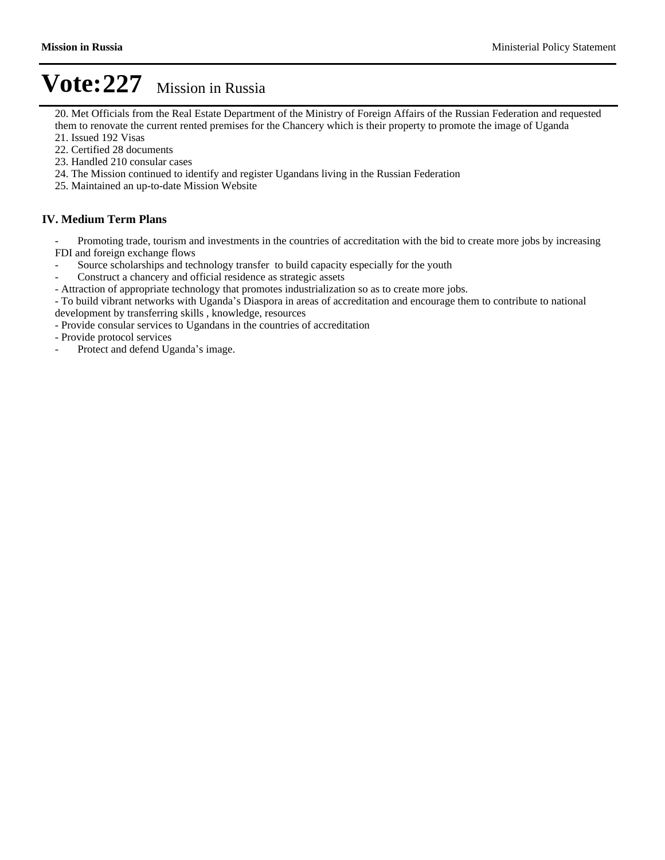20. Met Officials from the Real Estate Department of the Ministry of Foreign Affairs of the Russian Federation and requested them to renovate the current rented premises for the Chancery which is their property to promote the image of Uganda

- 21. Issued 192 Visas
- 22. Certified 28 documents
- 23. Handled 210 consular cases
- 24. The Mission continued to identify and register Ugandans living in the Russian Federation
- 25. Maintained an up-to-date Mission Website

### **IV. Medium Term Plans**

- Promoting trade, tourism and investments in the countries of accreditation with the bid to create more jobs by increasing FDI and foreign exchange flows

- Source scholarships and technology transfer to build capacity especially for the youth
- Construct a chancery and official residence as strategic assets
- Attraction of appropriate technology that promotes industrialization so as to create more jobs.

- To build vibrant networks with Uganda's Diaspora in areas of accreditation and encourage them to contribute to national development by transferring skills , knowledge, resources

- Provide consular services to Ugandans in the countries of accreditation

- Provide protocol services

- Protect and defend Uganda's image.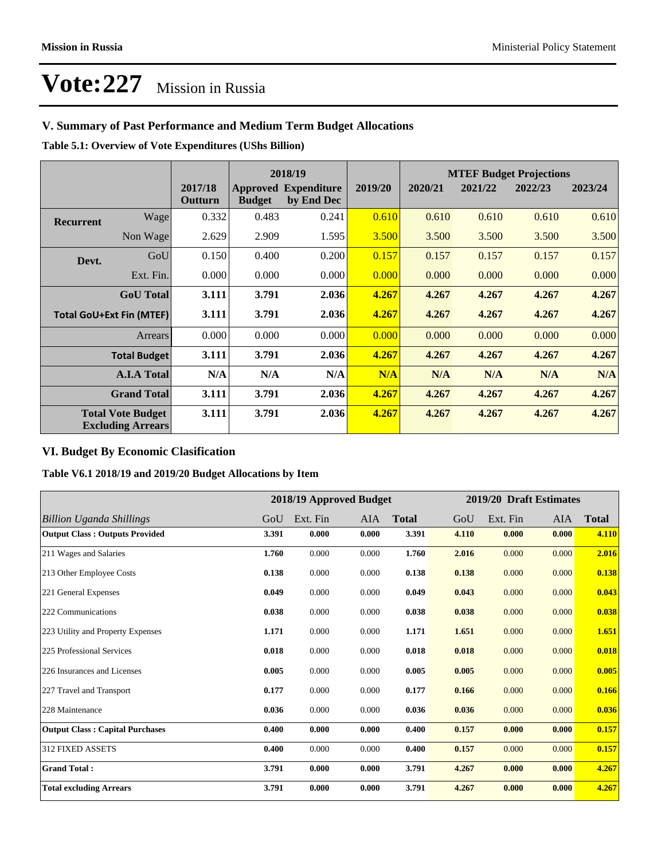### **V. Summary of Past Performance and Medium Term Budget Allocations**

**Table 5.1: Overview of Vote Expenditures (UShs Billion)**

|                                                      |                  |                    |               | 2018/19                                   |         | <b>MTEF Budget Projections</b> |         |         |         |
|------------------------------------------------------|------------------|--------------------|---------------|-------------------------------------------|---------|--------------------------------|---------|---------|---------|
|                                                      |                  | 2017/18<br>Outturn | <b>Budget</b> | <b>Approved Expenditure</b><br>by End Dec | 2019/20 | 2020/21                        | 2021/22 | 2022/23 | 2023/24 |
| <b>Recurrent</b>                                     | Wage             | 0.332              | 0.483         | 0.241                                     | 0.610   | 0.610                          | 0.610   | 0.610   | 0.610   |
|                                                      | Non Wage         | 2.629              | 2.909         | 1.595                                     | 3.500   | 3.500                          | 3.500   | 3.500   | 3.500   |
| Devt.                                                | GoU              | 0.150              | 0.400         | 0.200                                     | 0.157   | 0.157                          | 0.157   | 0.157   | 0.157   |
|                                                      | Ext. Fin.        | 0.000              | 0.000         | 0.000                                     | 0.000   | 0.000                          | 0.000   | 0.000   | 0.000   |
|                                                      | <b>GoU</b> Total | 3.111              | 3.791         | 2.036                                     | 4.267   | 4.267                          | 4.267   | 4.267   | 4.267   |
| <b>Total GoU+Ext Fin (MTEF)</b>                      |                  | 3.111              | 3.791         | 2.036                                     | 4.267   | 4.267                          | 4.267   | 4.267   | 4.267   |
| Arrears                                              |                  | 0.000              | 0.000         | 0.000                                     | 0.000   | 0.000                          | 0.000   | 0.000   | 0.000   |
| <b>Total Budget</b>                                  |                  | 3.111              | 3.791         | 2.036                                     | 4.267   | 4.267                          | 4.267   | 4.267   | 4.267   |
| <b>A.I.A Total</b>                                   |                  | N/A                | N/A           | N/A                                       | N/A     | N/A                            | N/A     | N/A     | N/A     |
| <b>Grand Total</b>                                   |                  | 3.111              | 3.791         | 2.036                                     | 4.267   | 4.267                          | 4.267   | 4.267   | 4.267   |
| <b>Total Vote Budget</b><br><b>Excluding Arrears</b> |                  | 3.111              | 3.791         | 2.036                                     | 4.267   | 4.267                          | 4.267   | 4.267   | 4.267   |

### **VI. Budget By Economic Clasification**

### **Table V6.1 2018/19 and 2019/20 Budget Allocations by Item**

|                                        |       | 2018/19 Approved Budget |       |              |       | 2019/20 Draft Estimates |            |              |
|----------------------------------------|-------|-------------------------|-------|--------------|-------|-------------------------|------------|--------------|
| <b>Billion Uganda Shillings</b>        | GoU   | Ext. Fin                | AIA   | <b>Total</b> | GoU   | Ext. Fin                | <b>AIA</b> | <b>Total</b> |
| <b>Output Class: Outputs Provided</b>  | 3.391 | 0.000                   | 0.000 | 3.391        | 4.110 | 0.000                   | 0.000      | 4.110        |
| 211 Wages and Salaries                 | 1.760 | 0.000                   | 0.000 | 1.760        | 2.016 | 0.000                   | 0.000      | 2.016        |
| 213 Other Employee Costs               | 0.138 | 0.000                   | 0.000 | 0.138        | 0.138 | 0.000                   | 0.000      | 0.138        |
| 221 General Expenses                   | 0.049 | 0.000                   | 0.000 | 0.049        | 0.043 | 0.000                   | 0.000      | 0.043        |
| 222 Communications                     | 0.038 | 0.000                   | 0.000 | 0.038        | 0.038 | 0.000                   | 0.000      | 0.038        |
| 223 Utility and Property Expenses      | 1.171 | 0.000                   | 0.000 | 1.171        | 1.651 | 0.000                   | 0.000      | 1.651        |
| 225 Professional Services              | 0.018 | 0.000                   | 0.000 | 0.018        | 0.018 | 0.000                   | 0.000      | 0.018        |
| 226 Insurances and Licenses            | 0.005 | 0.000                   | 0.000 | 0.005        | 0.005 | 0.000                   | 0.000      | 0.005        |
| 227 Travel and Transport               | 0.177 | 0.000                   | 0.000 | 0.177        | 0.166 | 0.000                   | 0.000      | 0.166        |
| 228 Maintenance                        | 0.036 | 0.000                   | 0.000 | 0.036        | 0.036 | 0.000                   | 0.000      | 0.036        |
| <b>Output Class: Capital Purchases</b> | 0.400 | 0.000                   | 0.000 | 0.400        | 0.157 | 0.000                   | 0.000      | 0.157        |
| 312 FIXED ASSETS                       | 0.400 | 0.000                   | 0.000 | 0.400        | 0.157 | 0.000                   | 0.000      | 0.157        |
| <b>Grand Total:</b>                    | 3.791 | 0.000                   | 0.000 | 3.791        | 4.267 | 0.000                   | 0.000      | 4.267        |
| <b>Total excluding Arrears</b>         | 3.791 | 0.000                   | 0.000 | 3.791        | 4.267 | 0.000                   | 0.000      | 4.267        |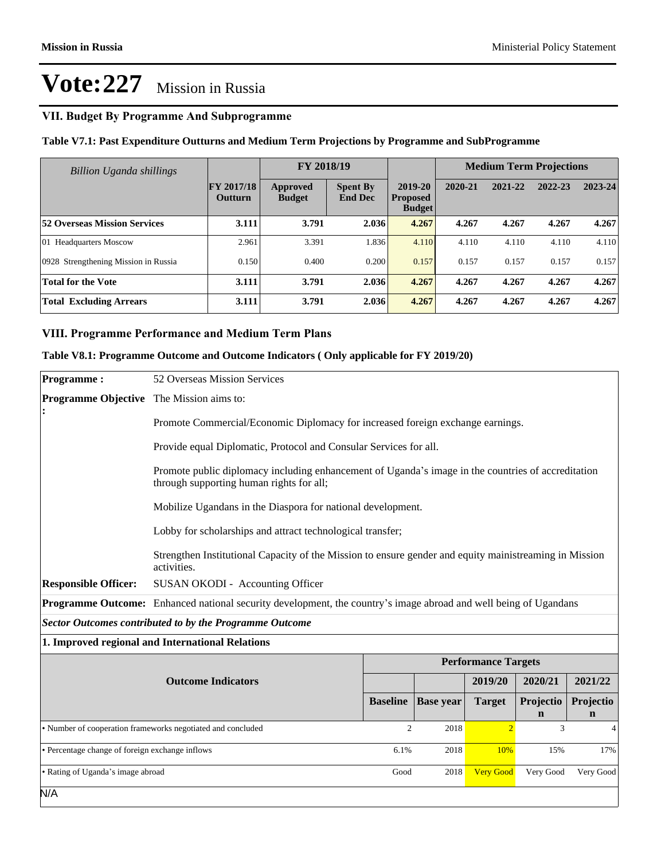## **VII. Budget By Programme And Subprogramme**

**Table V7.1: Past Expenditure Outturns and Medium Term Projections by Programme and SubProgramme**

| <b>Billion Uganda shillings</b>      |                                     | FY 2018/19                       |                                   |                                             | <b>Medium Term Projections</b> |         |         |         |
|--------------------------------------|-------------------------------------|----------------------------------|-----------------------------------|---------------------------------------------|--------------------------------|---------|---------|---------|
|                                      | <b>FY 2017/18</b><br><b>Outturn</b> | <b>Approved</b><br><b>Budget</b> | <b>Spent By</b><br><b>End Dec</b> | 2019-20<br><b>Proposed</b><br><b>Budget</b> | 2020-21                        | 2021-22 | 2022-23 | 2023-24 |
| <b>52 Overseas Mission Services</b>  | 3.111                               | 3.791                            | 2.036                             | 4.267                                       | 4.267                          | 4.267   | 4.267   | 4.267   |
| 01 Headquarters Moscow               | 2.961                               | 3.391                            | 1.836                             | 4.110                                       | 4.110                          | 4.110   | 4.110   | 4.110   |
| 0928 Strengthening Mission in Russia | 0.150                               | 0.400                            | 0.200                             | 0.157                                       | 0.157                          | 0.157   | 0.157   | 0.157   |
| <b>Total for the Vote</b>            | 3.111                               | 3.791                            | 2.036                             | 4.267                                       | 4.267                          | 4.267   | 4.267   | 4.267   |
| <b>Total Excluding Arrears</b>       | 3.111                               | 3.791                            | 2.036                             | 4.267                                       | 4.267                          | 4.267   | 4.267   | 4.267   |

### **VIII. Programme Performance and Medium Term Plans**

**Table V8.1: Programme Outcome and Outcome Indicators ( Only applicable for FY 2019/20)**

| <b>Programme:</b>                                           | 52 Overseas Mission Services                                                                                                                   |                 |                                               |                  |                          |                          |  |  |
|-------------------------------------------------------------|------------------------------------------------------------------------------------------------------------------------------------------------|-----------------|-----------------------------------------------|------------------|--------------------------|--------------------------|--|--|
| <b>Programme Objective</b>                                  | The Mission aims to:                                                                                                                           |                 |                                               |                  |                          |                          |  |  |
|                                                             | Promote Commercial/Economic Diplomacy for increased foreign exchange earnings.                                                                 |                 |                                               |                  |                          |                          |  |  |
|                                                             | Provide equal Diplomatic, Protocol and Consular Services for all.                                                                              |                 |                                               |                  |                          |                          |  |  |
|                                                             | Promote public diplomacy including enhancement of Uganda's image in the countries of accreditation<br>through supporting human rights for all; |                 |                                               |                  |                          |                          |  |  |
|                                                             | Mobilize Ugandans in the Diaspora for national development.                                                                                    |                 |                                               |                  |                          |                          |  |  |
|                                                             | Lobby for scholarships and attract technological transfer;                                                                                     |                 |                                               |                  |                          |                          |  |  |
|                                                             | Strengthen Institutional Capacity of the Mission to ensure gender and equity mainistreaming in Mission<br>activities.                          |                 |                                               |                  |                          |                          |  |  |
| <b>Responsible Officer:</b>                                 | SUSAN OKODI - Accounting Officer                                                                                                               |                 |                                               |                  |                          |                          |  |  |
|                                                             | <b>Programme Outcome:</b> Enhanced national security development, the country's image abroad and well being of Ugandans                        |                 |                                               |                  |                          |                          |  |  |
|                                                             | <b>Sector Outcomes contributed to by the Programme Outcome</b>                                                                                 |                 |                                               |                  |                          |                          |  |  |
|                                                             | 1. Improved regional and International Relations                                                                                               |                 |                                               |                  |                          |                          |  |  |
|                                                             | <b>Performance Targets</b>                                                                                                                     |                 |                                               |                  |                          |                          |  |  |
|                                                             | <b>Outcome Indicators</b>                                                                                                                      |                 |                                               | 2019/20          | 2020/21                  | 2021/22                  |  |  |
|                                                             |                                                                                                                                                | <b>Baseline</b> | <b>Base year</b>                              | <b>Target</b>    | Projectio<br>$\mathbf n$ | Projectio<br>$\mathbf n$ |  |  |
| · Number of cooperation frameworks negotiated and concluded |                                                                                                                                                |                 | $\overline{2}$<br>2018<br>$\overline{2}$<br>3 |                  |                          | 4                        |  |  |
| • Percentage change of foreign exchange inflows             |                                                                                                                                                |                 | 2018                                          | 10%              | 15%                      | 17%                      |  |  |
| • Rating of Uganda's image abroad                           |                                                                                                                                                |                 | 2018                                          | <b>Very Good</b> | Very Good                | Very Good                |  |  |
| N/A                                                         |                                                                                                                                                |                 |                                               |                  |                          |                          |  |  |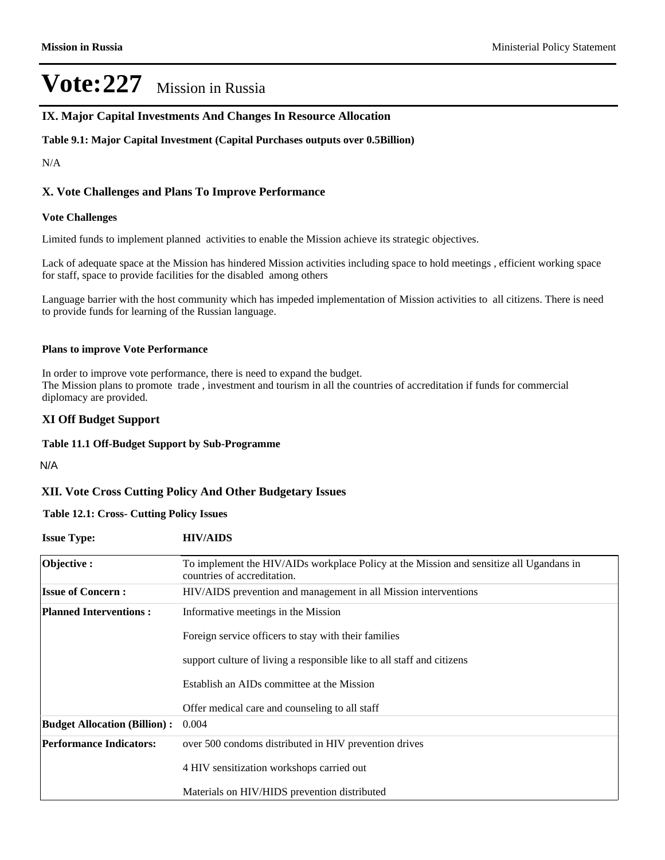### **IX. Major Capital Investments And Changes In Resource Allocation**

### **Table 9.1: Major Capital Investment (Capital Purchases outputs over 0.5Billion)**

N/A

### **X. Vote Challenges and Plans To Improve Performance**

#### **Vote Challenges**

Limited funds to implement planned activities to enable the Mission achieve its strategic objectives.

Lack of adequate space at the Mission has hindered Mission activities including space to hold meetings , efficient working space for staff, space to provide facilities for the disabled among others

Language barrier with the host community which has impeded implementation of Mission activities to all citizens. There is need to provide funds for learning of the Russian language.

#### **Plans to improve Vote Performance**

In order to improve vote performance, there is need to expand the budget. The Mission plans to promote trade , investment and tourism in all the countries of accreditation if funds for commercial diplomacy are provided.

### **XI Off Budget Support**

#### **Table 11.1 Off-Budget Support by Sub-Programme**

N/A

### **XII. Vote Cross Cutting Policy And Other Budgetary Issues**

#### **Table 12.1: Cross- Cutting Policy Issues**

| <b>Issue Type:</b>                  | <b>HIV/AIDS</b>                                                                                                        |  |  |  |
|-------------------------------------|------------------------------------------------------------------------------------------------------------------------|--|--|--|
| Objective:                          | To implement the HIV/AIDs workplace Policy at the Mission and sensitize all Ugandans in<br>countries of accreditation. |  |  |  |
| <b>Issue of Concern:</b>            | HIV/AIDS prevention and management in all Mission interventions                                                        |  |  |  |
| <b>Planned Interventions:</b>       | Informative meetings in the Mission                                                                                    |  |  |  |
|                                     | Foreign service officers to stay with their families                                                                   |  |  |  |
|                                     | support culture of living a responsible like to all staff and citizens                                                 |  |  |  |
|                                     | Establish an AIDs committee at the Mission                                                                             |  |  |  |
|                                     | Offer medical care and counseling to all staff                                                                         |  |  |  |
| <b>Budget Allocation (Billion):</b> | 0.004                                                                                                                  |  |  |  |
| <b>Performance Indicators:</b>      | over 500 condoms distributed in HIV prevention drives                                                                  |  |  |  |
|                                     | 4 HIV sensitization workshops carried out                                                                              |  |  |  |
|                                     | Materials on HIV/HIDS prevention distributed                                                                           |  |  |  |